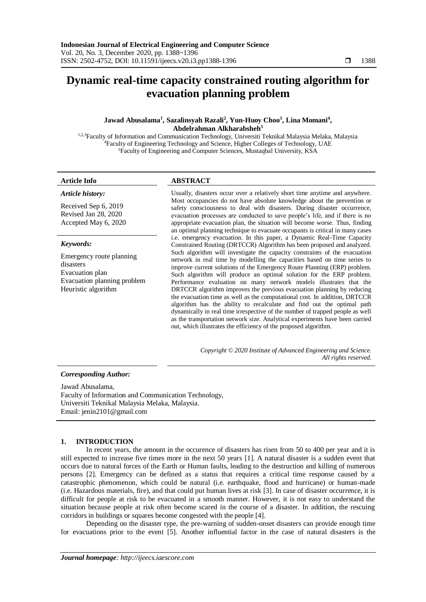# **Dynamic real-time capacity constrained routing algorithm for evacuation planning problem**

# **Jawad Abusalama<sup>1</sup> , Sazalinsyah Razali<sup>2</sup> , Yun-Huoy Choo<sup>3</sup> , Lina Momani<sup>4</sup> , Abdelrahman Alkharabsheh<sup>5</sup>**

<sup>1,2,3</sup>Faculty of Information and Communication Technology, Universiti Teknikal Malaysia Melaka, Malaysia <sup>4</sup>Faculty of Engineering Technology and Science, Higher Colleges of Technology, UAE <sup>5</sup>Faculty of Engineering and Computer Sciences, Mustaqbal University, KSA

*Article history:*

# **Article Info ABSTRACT**

Received Sep 6, 2019 Revised Jan 28, 2020 Accepted May 6, 2020

# *Keywords:*

Emergency route planning disasters Evacuation plan Evacuation planning problem Heuristic algorithm

Usually, disasters occur over a relatively short time anytime and anywhere. Most occupancies do not have absolute knowledge about the prevention or safety consciousness to deal with disasters. During disaster occurrence, evacuation processes are conducted to save people's life, and if there is no appropriate evacuation plan, the situation will become worse. Thus, finding an optimal planning technique to evacuate occupants is critical in many cases i.e. emergency evacuation. In this paper, a Dynamic Real-Time Capacity Constrained Routing (DRTCCR) Algorithm has been proposed and analyzed. Such algorithm will investigate the capacity constraints of the evacuation network in real time by modelling the capacities based on time series to improve current solutions of the Emergency Route Planning (ERP) problem. Such algorithm will produce an optimal solution for the ERP problem. Performance evaluation on many network models illustrates that the DRTCCR algorithm improves the previous evacuation planning by reducing the evacuation time as well as the computational cost. In addition, DRTCCR algorithm has the ability to recalculate and find out the optimal path dynamically in real time irrespective of the number of trapped people as well as the transportation network size. Analytical experiments have been carried out, which illustrates the efficiency of the proposed algorithm.

> *Copyright © 2020 Institute of Advanced Engineering and Science. All rights reserved.*

# *Corresponding Author:*

Jawad Abusalama, Faculty of Information and Communication Technology, Universiti Teknikal Malaysia Melaka, Malaysia. Email: jenin2101@gmail.com

# **1. INTRODUCTION**

In recent years, the amount in the occurence of disasters has risen from 50 to 400 per year and it is still expected to increase five times more in the next 50 years [1]. A natural disaster is a sudden event that occurs due to natural forces of the Earth or Human faults, leading to the destruction and killing of numerous persons [2]. Emergency can be defined as a status that requires a critical time response caused by a catastrophic phenomenon, which could be natural (i.e. earthquake, flood and hurricane) or human-made (i.e. Hazardous materials, fire), and that could put human lives at risk [3]. In case of disaster occurrence, it is difficult for people at risk to be evacuated in a smooth manner. However, it is not easy to understand the situation because people at risk often become scared in the course of a disaster. In addition, the rescuing corridors in buildings or squares become congested with the people [4].

Depending on the disaster type, the pre-warning of sudden-onset disasters can provide enough time for evacuations prior to the event [5]. Another influential factor in the case of natural disasters is the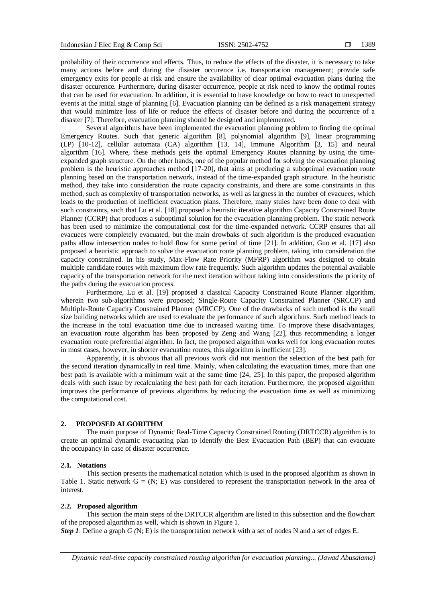probability of their occurrence and effects. Thus, to reduce the effects of the disaster, it is necessary to take many actions before and during the disaster occurence i.e. transportation management; provide safe emergency exits for people at risk and ensure the availability of clear optimal evacuation plans during the disaster occurence. Furthermore, during disaster occurrence, people at risk need to know the optimal routes that can be used for evacuation. In addition, it is essential to have knowledge on how to react to unexpected events at the initial stage of planning [6]. Evacuation planning can be defined as a risk management strategy that would minimize loss of life or reduce the effects of disaster before and during the occurrence of a disaster [7]. Therefore, evacuation planning should be designed and implemented.

Several algorithms have been implemented the evacuation planning problem to finding the optimal Emergency Routes. Such that generic algorithm [8], polynomial algorithm [9], linear programming (LP) [10-12], cellular automata (CA) algorithm [13, 14], Immune Algorithm [3, 15] and neural algorithm [16]. Where, these methods gets the optimal Emergency Routes planning by using the timeexpanded graph structure. On the other hands, one of the popular method for solving the evacuation planning problem is the heuristic approaches method [17-20], that aims at producing a suboptimal evacuation route planning based on the transportation network, instead of the time-expanded graph structure. In the heuristic method, they take into consideration the route capacity constraints, and there are some constraints in this method, such as complexity of transportation networks, as well as largness in the number of evacuees, which leads to the production of inefficient evacuation plans. Therefore, many stuies have been done to deal with such constraints, such that Lu et al. [18] proposed a heuristic iterative algorithm Capacity Constrained Route Planner (CCRP) that produces a suboptimal solution for the evacuation planning problem. The static network has been used to minimize the computational cost for the time-expanded network. CCRP ensures that all evacuees were completely evacuated, but the main drowbaks of such algorithm is the produced evacuation paths allow intersection nodes to hold flow for some period of time [21]. In addition, Guo et al. [17] also proposed a heuristic approach to solve the evacuation route planning problem, taking into consideration the capacity constrained. In his study, Max-Flow Rate Priority (MFRP) algorithm was designed to obtain multiple candidate routes with maximum flow rate frequently. Such algorithm updates the potential available capacity of the transportation network for the next iteration without taking into considerations the priority of the paths during the evacuation process.

Furthermore, Lu et al. [19] proposed a classical Capacity Constrained Route Planner algorithm, wherein two sub-algorithms were proposed; Single-Route Capacity Constrained Planner (SRCCP) and Multiple-Route Capacity Constrained Planner (MRCCP). One of the drawbacks of such method is the small size building networks which are used to evaluate the performance of such algorithms. Such method leads to the increase in the total evacuation time due to increased waiting time. To improve these disadvantages, an evacuation route algorithm has been proposed by Zeng and Wang [22], thus recommending a longer evacuation route preferential algorithm. In fact, the proposed algorithm works well for long evacuation routes in most cases, however, in shorter evacuation routes, this algorithm is inefficient [23].

Apparently, it is obvious that all previous work did not mention the selection of the best path for the second iteration dynamically in real time. Mainly, when calculating the evacuation times, more than one best path is available with a minimum wait at the same time [24, 25]. In this paper, the proposed algorithm deals with such issue by recalculating the best path for each iteration. Furthermore, the proposed algorithm improves the performance of previous algorithms by reducing the evacuation time as well as minimizing the computational cost.

#### **2. PROPOSED ALGORITHM**

The main purpose of Dynamic Real-Time Capacity Constrained Routing (DRTCCR) algorithm is to create an optimal dynamic evacuating plan to identify the Best Evacuation Path (BEP) that can evacuate the occupancy in case of disaster occurrence.

#### **2.1. Notations**

This section presents the mathematical notation which is used in the proposed algorithm as shown in Table 1. Static network  $G = (N; E)$  was considered to represent the transportation network in the area of interest.

# **2.2. Proposed algorithm**

This section the main steps of the DRTCCR algorithm are listed in this subsection and the flowchart of the proposed algorithm as well, which is shown in Figure 1.

*Step 1*: Define a graph *G (*N; E) is the transportation network with a set of nodes N and a set of edges E.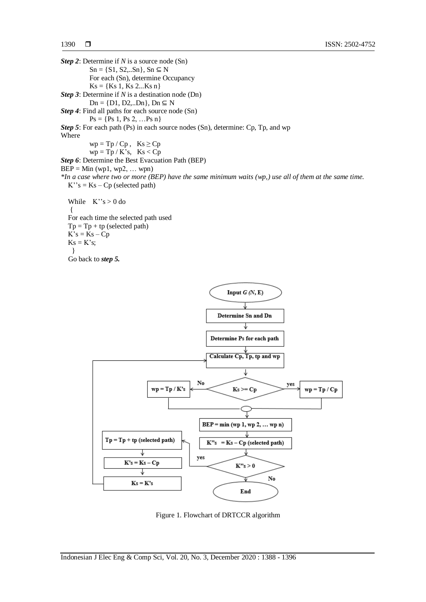*Step 2*: Determine if *N* is a source node (Sn)  $Sn = \{S1, S2, ...Sn\}$ ,  $Sn \subseteq N$ For each (Sn), determine Occupancy  $Ks = \{Ks 1, Ks 2...Ks n\}$ *Step 3*: Determine if *N* is a destination node (Dn)  $Dn = \{D1, D2, ...Dn\}, Dn \subseteq N$ *Step 4*: Find all paths for each source node (Sn)  $Ps = \{Ps 1, Ps 2, ...Ps n\}$ *Step 5*: For each path (Ps) in each source nodes (Sn), determine: Cp, Tp, and wp Where  $wp = Tp / Cp, Ks \ge Cp$  $wp = Tp / K's$ ,  $Ks < Cp$ *Step 6*: Determine the Best Evacuation Path (BEP)  $BEP = Min (wp1, wp2, ... wpn)$ *\*In a case where two or more (BEP) have the same minimum waits (wp,) use all of them at the same time.*  $K''s = Ks - Cp$  (selected path) While  $K''s > 0$  do { For each time the selected path used  $Tp = Tp + tp$  (selected path)  $K's = Ks - Cp$  $Ks = K's$ ; } Go back to *step 5.*



Figure 1. Flowchart of DRTCCR algorithm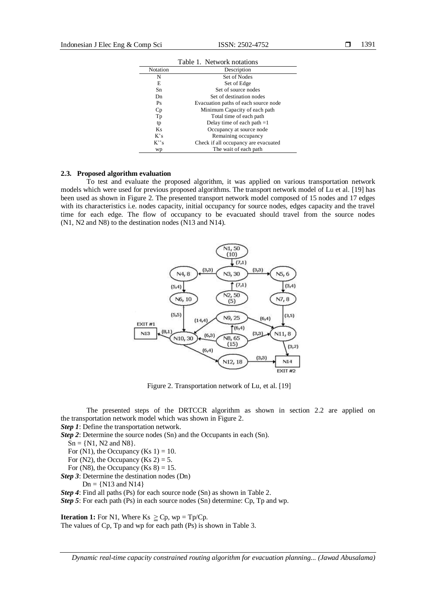|                      | Table 1. Network notations           |
|----------------------|--------------------------------------|
| Notation             | Description                          |
| N                    | Set of Nodes                         |
| E                    | Set of Edge                          |
| Sn                   | Set of source nodes                  |
| Dn                   | Set of destination nodes             |
| Ps                   | Evacuation paths of each source node |
| Cp                   | Minimum Capacity of each path        |
| Tp                   | Total time of each path              |
| tp                   | Delay time of each path $=1$         |
| Ks                   | Occupancy at source node             |
| $K$ 's               | Remaining occupancy                  |
| $K^{\prime\prime}$ s | Check if all occupancy are evacuated |
| wp                   | The wait of each path                |

#### **2.3. Proposed algorithm evaluation**

To test and evaluate the proposed algorithm, it was applied on various transportation network models which were used for previous proposed algorithms. The transport network model of Lu et al. [19] has been used as shown in Figure 2. The presented transport network model composed of 15 nodes and 17 edges with its characteristics i.e. nodes capacity, initial occupancy for source nodes, edges capacity and the travel time for each edge. The flow of occupancy to be evacuated should travel from the source nodes (N1, N2 and N8) to the destination nodes (N13 and N14).



Figure 2. Transportation network of Lu, et al. [19]

The presented steps of the DRTCCR algorithm as shown in section 2.2 are applied on the transportation network model which was shown in Figure 2.

*Step 1*: Define the transportation network.

*Step 2*: Determine the source nodes (Sn) and the Occupants in each (Sn).

 $Sn = \{N1, N2 \text{ and } N8\}.$ 

For  $(N1)$ , the Occupancy  $(Ks 1) = 10$ .

For (N2), the Occupancy (Ks 2) = 5.

For (N8), the Occupancy (Ks  $8$ ) = 15.

*Step 3*: Determine the destination nodes (Dn)

 $Dn = \{N13 \text{ and } N14\}$ 

*Step 4*: Find all paths (Ps) for each source node (Sn) as shown in Table 2.

*Step 5*: For each path (Ps) in each source nodes (Sn) determine: Cp, Tp and wp.

**Iteration 1:** For N1, Where Ks  $\geq$  Cp, wp = Tp/Cp. The values of Cp, Tp and wp for each path (Ps) is shown in Table 3.

*Dynamic real-time capacity constrained routing algorithm for evacuation planning... (Jawad Abusalama)*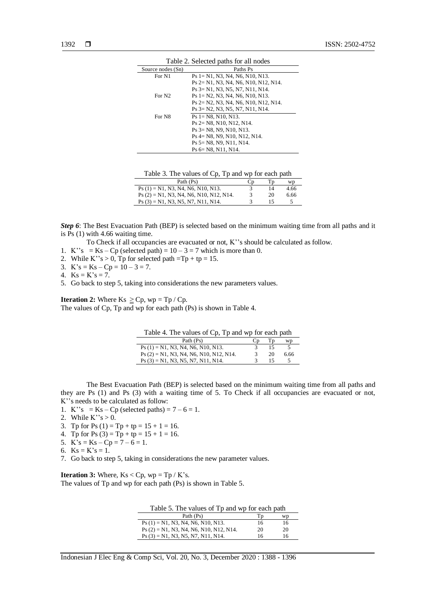| Table 2. Selected paths for all nodes |                                      |  |
|---------------------------------------|--------------------------------------|--|
| Source nodes (Sn)                     | Paths Ps                             |  |
| For N1                                | $Ps = N1. N3. N4. N6. N10. N13.$     |  |
|                                       | Ps 2= N1, N3, N4, N6, N10, N12, N14. |  |
|                                       | Ps 3= N1, N3, N5, N7, N11, N14.      |  |
| For N <sub>2</sub>                    | $Ps = N2, N3, N4, N6, N10, N13.$     |  |
|                                       | Ps 2= N2, N3, N4, N6, N10, N12, N14. |  |
|                                       | Ps 3= N2, N3, N5, N7, N11, N14.      |  |
| For N8                                | $Ps = N8. N10. N13.$                 |  |
|                                       | $Ps$ 2= N8, N10, N12, N14.           |  |
|                                       | $Ps$ 3= N8, N9, N10, N13.            |  |
|                                       | Ps 4= N8, N9, N10, N12, N14.         |  |
|                                       | $Ps$ 5 = N8, N9, N11, N14.           |  |
|                                       | $Ps$ 6 = N8, N11, N14.               |  |

Table 3. The values of Cp, Tp and wp for each path

| Path (Ps)                                 |    | wp   |
|-------------------------------------------|----|------|
| $Ps(1) = N1, N3, N4, N6, N10, N13.$       | 14 | 4.66 |
| $Ps(2) = N1$ , N3, N4, N6, N10, N12, N14. | 20 | 6.66 |
| $Ps(3) = N1, N3, N5, N7, N11, N14.$       |    |      |

*Step 6*: The Best Evacuation Path (BEP) is selected based on the minimum waiting time from all paths and it is Ps (1) with 4.66 waiting time.

To Check if all occupancies are evacuated or not, K''s should be calculated as follow.

- 1. K<sup>\*</sup>'s = Ks Cp (selected path) =  $10 3 = 7$  which is more than 0.
- 2. While K''s  $> 0$ , Tp for selected path =Tp + tp = 15.
- 3.  $K's = Ks Cp = 10 3 = 7$ .
- 4.  $Ks = K's = 7$ .
- 5. Go back to step 5, taking into considerations the new parameters values.

**Iteration 2:** Where Ks  $\geq$  Cp, wp = Tp / Cp. The values of Cp, Tp and wp for each path (Ps) is shown in Table 4.

| Table 4. The values of Cp, Tp and wp for each path |    |    |      |
|----------------------------------------------------|----|----|------|
| Path (Ps)                                          | Ċр |    | wp   |
| $Ps(1) = N1, N3, N4, N6, N10, N13.$                |    | 15 |      |
| $Ps(2) = N1$ , N3, N4, N6, N10, N12, N14.          |    | 20 | 6.66 |
| $Ps(3) = N1, N3, N5, N7, N11, N14.$                |    |    |      |

The Best Evacuation Path (BEP) is selected based on the minimum waiting time from all paths and they are Ps (1) and Ps (3) with a waiting time of 5. To Check if all occupancies are evacuated or not, K''s needs to be calculated as follow:

- 1. K<sup>2</sup>'s = Ks Cp (selected paths) =  $7 6 = 1$ .
- 2. While  $K''s > 0$ .
- 3. Tp for Ps  $(1) = Tp + tp = 15 + 1 = 16$ .
- 4. Tp for Ps  $(3) = Tp + tp = 15 + 1 = 16$ .
- 5.  $K's = Ks Cp = 7 6 = 1.$
- 6.  $Ks = K's = 1$ .
- 
- 7. Go back to step 5, taking in considerations the new parameter values.

**Iteration 3:** Where,  $Ks < Cp$ ,  $wp = Tp / K's$ . The values of Tp and wp for each path (Ps) is shown in Table 5.

 $\overline{a}$ 

| Table 5. The values of Tp and wp for each path |    |    |
|------------------------------------------------|----|----|
| Path (Ps)                                      | Тp | wp |
| $Ps(1) = N1, N3, N4, N6, N10, N13.$            | 16 | 16 |

 $Ps (2) = N1, N3, N4, N6, N10, N12, N14.$  20 20  $Ps (3) = N1, N3, N5, N7, N11, N14.$  16 16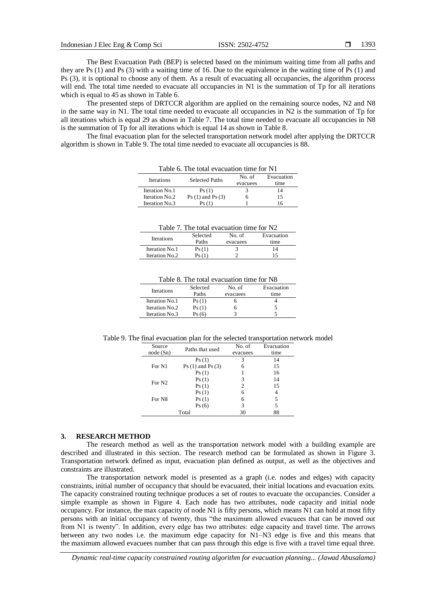The Best Evacuation Path (BEP) is selected based on the minimum waiting time from all paths and they are Ps (1) and Ps (3) with a waiting time of 16. Due to the equivalence in the waiting time of Ps (1) and Ps (3), it is optional to choose any of them. As a result of evacuating all occupancies, the algorithm process will end. The total time needed to evacuate all occupancies in N1 is the summation of Tp for all iterations which is equal to 45 as shown in Table 6.

The presented steps of DRTCCR algorithm are applied on the remaining source nodes, N2 and N8 in the same way in N1. The total time needed to evacuate all occupancies in N2 is the summation of Tp for all iterations which is equal 29 as shown in Table 7. The total time needed to evacuate all occupancies in N8 is the summation of Tp for all iterations which is equal 14 as shown in Table 8.

The final evacuation plan for the selected transportation network model after applying the DRTCCR algorithm is shown in Table 9. The total time needed to evacuate all occupancies is 88.

| Table 6. The total evacuation time for N1 |                       |          |            |
|-------------------------------------------|-----------------------|----------|------------|
| <b>Iterations</b>                         | <b>Selected Paths</b> | No. of   | Evacuation |
|                                           |                       | evacuees | time       |
| Iteration No.1                            | Ps(1)                 |          | 14         |
| Iteration No.2                            | $Ps(1)$ and $Ps(3)$   | n        | 15         |
| Iteration No.3                            | Ps (1                 |          | l 6        |

#### Table 7. The total evacuation time for N2

| <b>Iterations</b> | Selected | No. of   | Evacuation |
|-------------------|----------|----------|------------|
|                   | Paths    | evacuees | time       |
| Iteration No.1    | Ps(1)    |          |            |
| Iteration No.2    | Ps (1)   |          | 15         |

| Table 8. The total evacuation time for N8 |  |
|-------------------------------------------|--|
|-------------------------------------------|--|

| Selected<br>Paths | No. of<br>evacuees | Evacuation<br>time |
|-------------------|--------------------|--------------------|
| Ps(1)             |                    |                    |
| Ps(1)             |                    |                    |
| Ps (6             |                    |                    |
|                   |                    |                    |

Table 9. The final evacuation plan for the selected transportation network model

| Source             | Paths that used     | No. of   | Evacuation |
|--------------------|---------------------|----------|------------|
| node(Sn)           |                     | evacuees | time       |
|                    | Ps(1)               | 3        | 14         |
| For N1             | $Ps(1)$ and $Ps(3)$ | 6        | 15         |
|                    | Ps(1)               |          | 16         |
| For N <sub>2</sub> | Ps(1)               | 3        | 14         |
|                    | Ps(1)               | 2        | 15         |
|                    | Ps(1)               | 6        | 4          |
| For N8             | Ps(1)               | 6        | 5          |
|                    | Ps(6)               | 3        | 5          |
|                    | Total               | 30       | 88         |

## **3. RESEARCH METHOD**

The research method as well as the transportation network model with a building example are described and illustrated in this section. The research method can be formulated as shown in Figure 3. Transportation network defined as input, evacuation plan defined as output, as well as the objectives and constraints are illustrated.

The transportation network model is presented as a graph (i.e. nodes and edges) with capacity constraints, initial number of occupancy that should be evacuated, their initial locations and evacuation exits. The capacity constrained routing technique produces a set of routes to evacuate the occupancies. Consider a simple example as shown in Figure 4. Each node has two attributes, node capacity and initial node occupancy. For instance, the max capacity of node N1 is fifty persons, which means N1 can hold at most fifty persons with an initial occupancy of twenty, thus "the maximum allowed evacuees that can be moved out from N1 is twenty". In addition, every edge has two attributes: edge capacity and travel time. The arrows between any two nodes i.e. the maximum edge capacity for N1–N3 edge is five and this means that the maximum allowed evacuees number that can pass through this edge is five with a travel time equal three.

*Dynamic real-time capacity constrained routing algorithm for evacuation planning... (Jawad Abusalama)*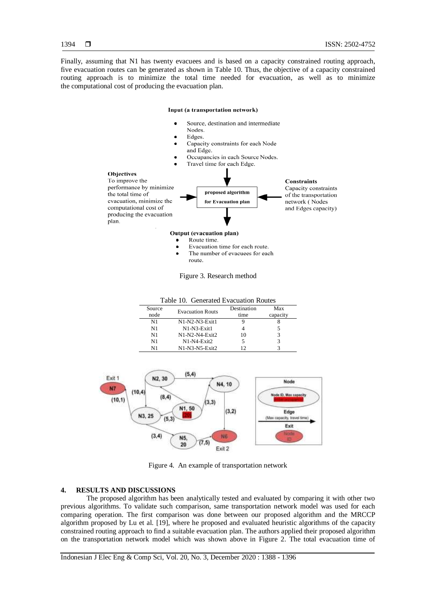Finally, assuming that N1 has twenty evacuees and is based on a capacity constrained routing approach, five evacuation routes can be generated as shown in Table 10. Thus, the objective of a capacity constrained routing approach is to minimize the total time needed for evacuation, as well as to minimize the computational cost of producing the evacuation plan.

#### Input (a transportation network)

- Source, destination and intermediate
- Nodes.
- Edges.
- Capacity constraints for each Node and Edge.
- Occupancies in each Source Nodes.



- $\bullet$ Route time.
- Evacuation time for each route.
- The number of evacuees for each route.

Figure 3. Research method

| Table 10. Generated Evacuation Routes |                         |             |          |  |
|---------------------------------------|-------------------------|-------------|----------|--|
| Source                                | <b>Evacuation Routs</b> | Destination | Max      |  |
| node                                  |                         | time        | capacity |  |
| N1                                    | $N1-N2-N3$ -Exit $1$    |             |          |  |
| N1                                    | N1-N3-Exit1             |             |          |  |
| N1                                    | $N1-N2-N4-Fx$ it $2$    | 10          |          |  |
| N1                                    | $N1-N4$ -Exit $2$       |             |          |  |
| N1                                    | $N1-N3-N5$ -Exit $2$    | 12          |          |  |



Figure 4. An example of transportation network

# **4. RESULTS AND DISCUSSIONS**

The proposed algorithm has been analytically tested and evaluated by comparing it with other two previous algorithms. To validate such comparison, same transportation network model was used for each comparing operation. The first comparison was done between our proposed algorithm and the MRCCP algorithm proposed by Lu et al. [19], where he proposed and evaluated heuristic algorithms of the capacity constrained routing approach to find a suitable evacuation plan. The authors applied their proposed algorithm on the transportation network model which was shown above in Figure 2. The total evacuation time of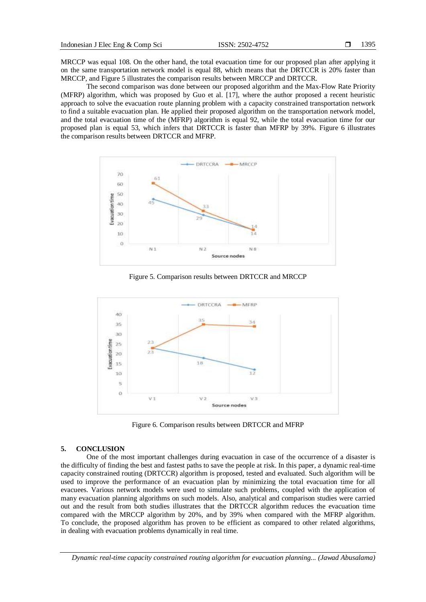MRCCP was equal 108. On the other hand, the total evacuation time for our proposed plan after applying it on the same transportation network model is equal 88, which means that the DRTCCR is 20% faster than MRCCP, and Figure 5 illustrates the comparison results between MRCCP and DRTCCR.

The second comparison was done between our proposed algorithm and the Max-Flow Rate Priority (MFRP) algorithm, which was proposed by Guo et al. [17], where the author proposed a recent heuristic approach to solve the evacuation route planning problem with a capacity constrained transportation network to find a suitable evacuation plan. He applied their proposed algorithm on the transportation network model, and the total evacuation time of the (MFRP) algorithm is equal 92, while the total evacuation time for our proposed plan is equal 53, which infers that DRTCCR is faster than MFRP by 39%. Figure 6 illustrates the comparison results between DRTCCR and MFRP.



Figure 5. Comparison results between DRTCCR and MRCCP



Figure 6. Comparison results between DRTCCR and MFRP

### **5. CONCLUSION**

One of the most important challenges during evacuation in case of the occurrence of a disaster is the difficulty of finding the best and fastest paths to save the people at risk. In this paper, a dynamic real-time capacity constrained routing (DRTCCR) algorithm is proposed, tested and evaluated. Such algorithm will be used to improve the performance of an evacuation plan by minimizing the total evacuation time for all evacuees. Various network models were used to simulate such problems, coupled with the application of many evacuation planning algorithms on such models. Also, analytical and comparison studies were carried out and the result from both studies illustrates that the DRTCCR algorithm reduces the evacuation time compared with the MRCCP algorithm by 20%, and by 39% when compared with the MFRP algorithm. To conclude, the proposed algorithm has proven to be efficient as compared to other related algorithms, in dealing with evacuation problems dynamically in real time.

*Dynamic real-time capacity constrained routing algorithm for evacuation planning... (Jawad Abusalama)*